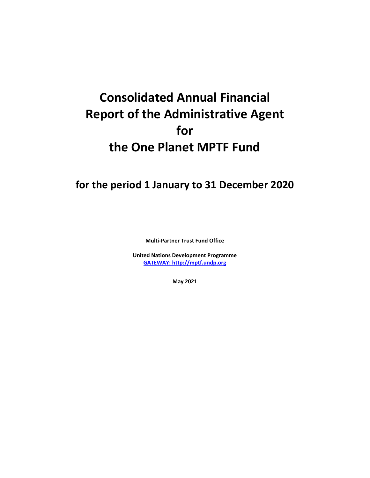# **Consolidated Annual Financial Report of the Administrative Agent for the One Planet MPTF Fund**

## **for the period 1 January to 31 December 2020**

**Multi-Partner Trust Fund Office**

**United Nations Development Programme [GATEWAY: http://mptf.undp.org](http://mptf.undp.org/)**

**May 2021**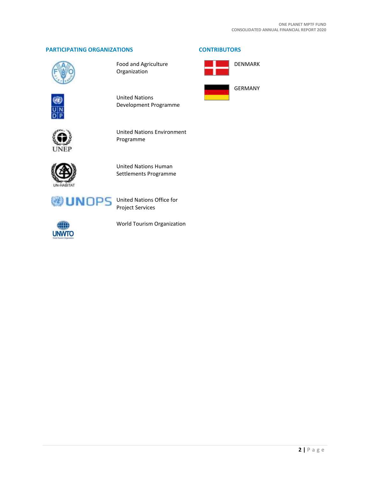#### **PARTICIPATING ORGANIZATIONS CONTRIBUTORS**



Food and Agriculture Organization



United Nations Development Programme



United Nations Environment Programme



United Nations Human Settlements Programme



Project Services



World Tourism Organization



DENMARK

GERMANY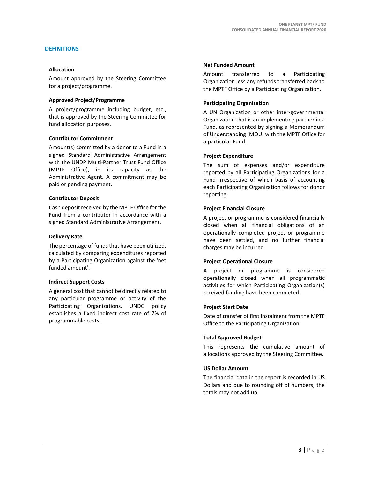#### **DEFINITIONS**

#### **Allocation**

Amount approved by the Steering Committee for a project/programme.

#### **Approved Project/Programme**

A project/programme including budget, etc., that is approved by the Steering Committee for fund allocation purposes.

#### **Contributor Commitment**

Amount(s) committed by a donor to a Fund in a signed Standard Administrative Arrangement with the UNDP Multi-Partner Trust Fund Office (MPTF Office), in its capacity as the Administrative Agent. A commitment may be paid or pending payment.

#### **Contributor Deposit**

Cash deposit received by the MPTF Office for the Fund from a contributor in accordance with a signed Standard Administrative Arrangement.

#### **Delivery Rate**

The percentage of funds that have been utilized, calculated by comparing expenditures reported by a Participating Organization against the 'net funded amount'.

#### **Indirect Support Costs**

A general cost that cannot be directly related to any particular programme or activity of the Participating Organizations. UNDG policy establishes a fixed indirect cost rate of 7% of programmable costs.

#### **Net Funded Amount**

Amount transferred to a Participating Organization less any refunds transferred back to the MPTF Office by a Participating Organization.

#### **Participating Organization**

A UN Organization or other inter-governmental Organization that is an implementing partner in a Fund, as represented by signing a Memorandum of Understanding (MOU) with the MPTF Office for a particular Fund.

#### **Project Expenditure**

The sum of expenses and/or expenditure reported by all Participating Organizations for a Fund irrespective of which basis of accounting each Participating Organization follows for donor reporting.

#### **Project Financial Closure**

A project or programme is considered financially closed when all financial obligations of an operationally completed project or programme have been settled, and no further financial charges may be incurred.

#### **Project Operational Closure**

A project or programme is considered operationally closed when all programmatic activities for which Participating Organization(s) received funding have been completed.

#### **Project Start Date**

Date of transfer of first instalment from the MPTF Office to the Participating Organization.

#### **Total Approved Budget**

This represents the cumulative amount of allocations approved by the Steering Committee.

#### **US Dollar Amount**

The financial data in the report is recorded in US Dollars and due to rounding off of numbers, the totals may not add up.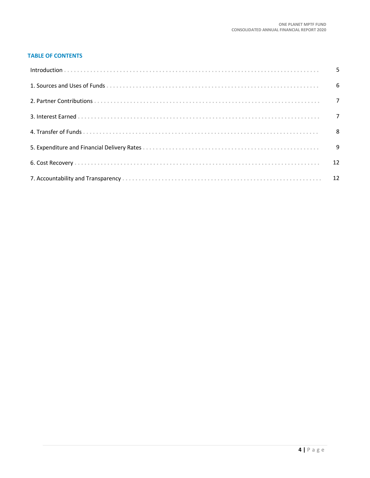#### **TABLE OF CONTENTS**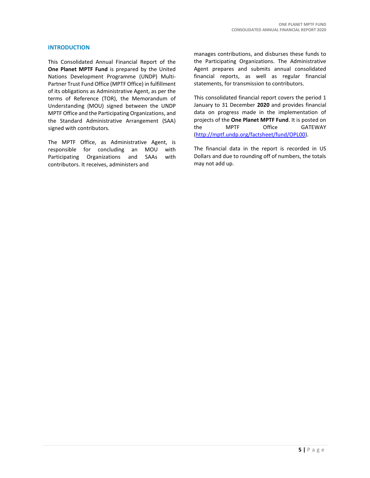#### **INTRODUCTION**

This Consolidated Annual Financial Report of the **One Planet MPTF Fund** is prepared by the United Nations Development Programme (UNDP) Multi-Partner Trust Fund Office (MPTF Office) in fulfillment of its obligations as Administrative Agent, as per the terms of Reference (TOR), the Memorandum of Understanding (MOU) signed between the UNDP MPTF Office and the Participating Organizations, and the Standard Administrative Arrangement (SAA) signed with contributors.

The MPTF Office, as Administrative Agent, is responsible for concluding an MOU with Participating Organizations and SAAs with contributors. It receives, administers and

manages contributions, and disburses these funds to the Participating Organizations. The Administrative Agent prepares and submits annual consolidated financial reports, as well as regular financial statements, for transmission to contributors.

This consolidated financial report covers the period 1 January to 31 December **2020** and provides financial data on progress made in the implementation of projects of the **One Planet MPTF Fund**. It is posted on the MPTF Office GATEWAY [\(http://mptf.undp.org/factsheet/fund/OPL00\)](http://mptf.undp.org/factsheet/fund/OPL00).

The financial data in the report is recorded in US Dollars and due to rounding off of numbers, the totals may not add up.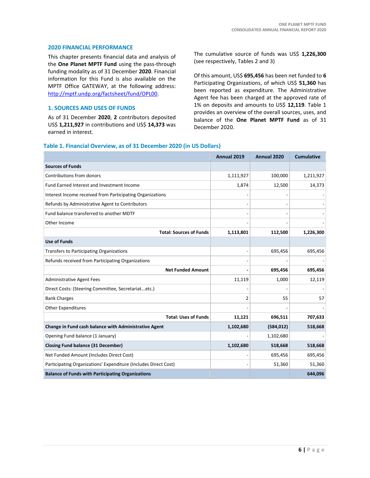#### **2020 FINANCIAL PERFORMANCE**

This chapter presents financial data and analysis of the **One Planet MPTF Fund** using the pass-through funding modality as of 31 December **2020**. Financial information for this Fund is also available on the MPTF Office GATEWAY, at the following address: [http://mptf.undp.org/factsheet/fund/OPL00.](http://mptf.undp.org/factsheet/fund/OPL00)

#### **1. SOURCES AND USES OF FUNDS**

As of 31 December **2020**, **2** contributors deposited US\$ **1,211,927** in contributions and US\$ **14,373** was earned in interest.

The cumulative source of funds was US\$ **1,226,300** (see respectively, Tables 2 and 3)

Of this amount, US\$ **695,456** has been net funded to **6** Participating Organizations, of which US\$ **51,360** has been reported as expenditure. The Administrative Agent fee has been charged at the approved rate of 1% on deposits and amounts to US\$ **12,119**. Table 1 provides an overview of the overall sources, uses, and balance of the **One Planet MPTF Fund** as of 31 December 2020.

#### **Table 1. Financial Overview, as of 31 December 2020 (in US Dollars)**

|                                                                 | Annual 2019    | Annual 2020 | <b>Cumulative</b> |
|-----------------------------------------------------------------|----------------|-------------|-------------------|
| <b>Sources of Funds</b>                                         |                |             |                   |
| Contributions from donors                                       | 1,111,927      | 100,000     | 1,211,927         |
| Fund Earned Interest and Investment Income                      | 1,874          | 12,500      | 14,373            |
| Interest Income received from Participating Organizations       |                |             |                   |
| Refunds by Administrative Agent to Contributors                 |                |             |                   |
| Fund balance transferred to another MDTF                        |                |             |                   |
| Other Income                                                    |                |             |                   |
| <b>Total: Sources of Funds</b>                                  | 1,113,801      | 112,500     | 1,226,300         |
| <b>Use of Funds</b>                                             |                |             |                   |
| <b>Transfers to Participating Organizations</b>                 |                | 695,456     | 695,456           |
| Refunds received from Participating Organizations               |                |             |                   |
| <b>Net Funded Amount</b>                                        |                | 695,456     | 695,456           |
| Administrative Agent Fees                                       | 11,119         | 1,000       | 12,119            |
| Direct Costs: (Steering Committee, Secretariatetc.)             |                |             |                   |
| <b>Bank Charges</b>                                             | $\overline{2}$ | 55          | 57                |
| <b>Other Expenditures</b>                                       |                |             |                   |
| <b>Total: Uses of Funds</b>                                     | 11,121         | 696,511     | 707,633           |
| Change in Fund cash balance with Administrative Agent           | 1,102,680      | (584, 012)  | 518,668           |
| Opening Fund balance (1 January)                                |                | 1,102,680   |                   |
| <b>Closing Fund balance (31 December)</b>                       | 1,102,680      | 518,668     | 518,668           |
| Net Funded Amount (Includes Direct Cost)                        |                | 695,456     | 695,456           |
| Participating Organizations' Expenditure (Includes Direct Cost) |                | 51,360      | 51,360            |
| <b>Balance of Funds with Participating Organizations</b>        |                |             | 644,096           |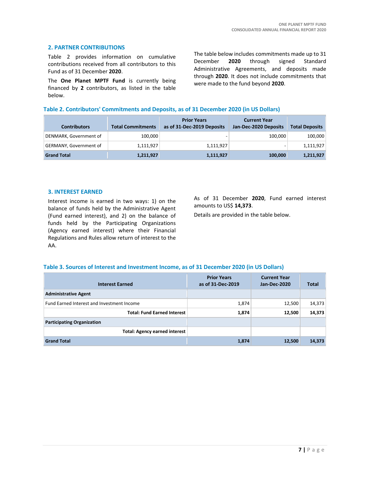#### **2. PARTNER CONTRIBUTIONS**

Table 2 provides information on cumulative contributions received from all contributors to this Fund as of 31 December **2020**.

The **One Planet MPTF Fund** is currently being financed by **2** contributors, as listed in the table below.

The table below includes commitments made up to 31 December **2020** through signed Standard Administrative Agreements, and deposits made through **2020**. It does not include commitments that were made to the fund beyond **2020**.

#### **Table 2. Contributors' Commitments and Deposits, as of 31 December 2020 (in US Dollars)**

| <b>Contributors</b>    | <b>Total Commitments</b> | <b>Prior Years</b><br>as of 31-Dec-2019 Deposits | <b>Current Year</b><br>Jan-Dec-2020 Deposits | <b>Total Deposits</b> |
|------------------------|--------------------------|--------------------------------------------------|----------------------------------------------|-----------------------|
| DENMARK, Government of | 100.000                  | -                                                | 100.000                                      | 100,000               |
| GERMANY, Government of | 1,111,927                | 1,111,927                                        |                                              | 1,111,927             |
| <b>Grand Total</b>     | 1,211,927                | 1,111,927                                        | 100,000                                      | 1,211,927             |

#### **3. INTEREST EARNED**

Interest income is earned in two ways: 1) on the balance of funds held by the Administrative Agent (Fund earned interest), and 2) on the balance of funds held by the Participating Organizations (Agency earned interest) where their Financial Regulations and Rules allow return of interest to the AA.

As of 31 December **2020**, Fund earned interest amounts to US\$ **14,373**.

Details are provided in the table below.

#### **Table 3. Sources of Interest and Investment Income, as of 31 December 2020 (in US Dollars)**

| <b>Interest Earned</b>                     | <b>Prior Years</b><br>as of 31-Dec-2019 | <b>Current Year</b><br>Jan-Dec-2020 | <b>Total</b> |
|--------------------------------------------|-----------------------------------------|-------------------------------------|--------------|
| <b>Administrative Agent</b>                |                                         |                                     |              |
| Fund Earned Interest and Investment Income | 1,874                                   | 12,500                              | 14,373       |
| <b>Total: Fund Earned Interest</b>         | 1,874                                   | 12,500                              | 14,373       |
| <b>Participating Organization</b>          |                                         |                                     |              |
| <b>Total: Agency earned interest</b>       |                                         |                                     |              |
| <b>Grand Total</b>                         | 1,874                                   | 12,500                              | 14,373       |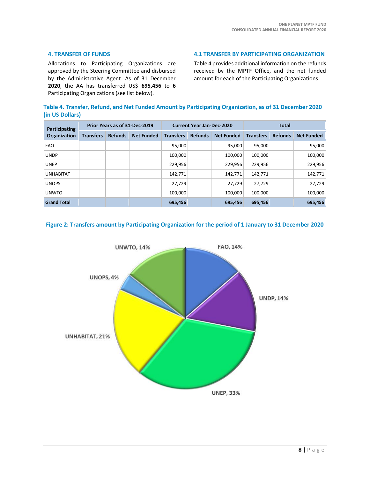#### **4. TRANSFER OF FUNDS**

Allocations to Participating Organizations are approved by the Steering Committee and disbursed by the Administrative Agent. As of 31 December **2020**, the AA has transferred US\$ **695,456** to **6** Participating Organizations (see list below).

**4.1 TRANSFER BY PARTICIPATING ORGANIZATION**

Table 4 provides additional information on the refunds received by the MPTF Office, and the net funded amount for each of the Participating Organizations.

|                 | Table 4. Transfer, Refund, and Net Funded Amount by Participating Organization, as of 31 December 2020 |  |  |
|-----------------|--------------------------------------------------------------------------------------------------------|--|--|
| (in US Dollars) |                                                                                                        |  |  |

| Participating<br>Organization | Prior Years as of 31-Dec-2019 |                |                   | <b>Current Year Jan-Dec-2020</b> |                |                   | <b>Total</b>     |                |                   |
|-------------------------------|-------------------------------|----------------|-------------------|----------------------------------|----------------|-------------------|------------------|----------------|-------------------|
|                               | <b>Transfers</b>              | <b>Refunds</b> | <b>Net Funded</b> | <b>Transfers</b>                 | <b>Refunds</b> | <b>Net Funded</b> | <b>Transfers</b> | <b>Refunds</b> | <b>Net Funded</b> |
| <b>FAO</b>                    |                               |                |                   | 95,000                           |                | 95.000            | 95,000           |                | 95,000            |
| <b>UNDP</b>                   |                               |                |                   | 100,000                          |                | 100,000           | 100,000          |                | 100,000           |
| <b>UNEP</b>                   |                               |                |                   | 229.956                          |                | 229.956           | 229.956          |                | 229,956           |
| <b>UNHABITAT</b>              |                               |                |                   | 142.771                          |                | 142,771           | 142.771          |                | 142,771           |
| <b>UNOPS</b>                  |                               |                |                   | 27,729                           |                | 27,729            | 27.729           |                | 27,729            |
| <b>UNWTO</b>                  |                               |                |                   | 100,000                          |                | 100,000           | 100,000          |                | 100,000           |
| <b>Grand Total</b>            |                               |                |                   | 695,456                          |                | 695,456           | 695,456          |                | 695,456           |

#### **Figure 2: Transfers amount by Participating Organization for the period of 1 January to 31 December 2020**

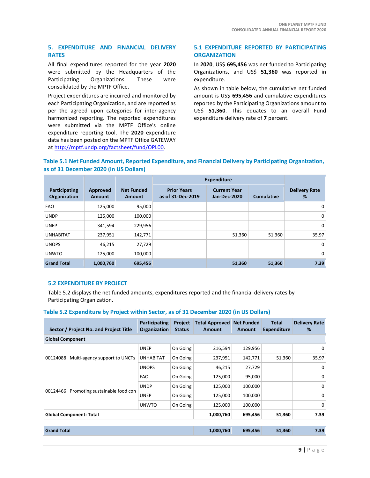#### **5. EXPENDITURE AND FINANCIAL DELIVERY RATES**

All final expenditures reported for the year **2020** were submitted by the Headquarters of the Participating Organizations. These were consolidated by the MPTF Office.

Project expenditures are incurred and monitored by each Participating Organization, and are reported as per the agreed upon categories for inter-agency harmonized reporting. The reported expenditures were submitted via the MPTF Office's online expenditure reporting tool. The **2020** expenditure data has been posted on the MPTF Office GATEWAY at [http://mptf.undp.org/factsheet/fund/OPL00.](http://mptf.undp.org/factsheet/fund/OPL00)

#### **5.1 EXPENDITURE REPORTED BY PARTICIPATING ORGANIZATION**

In **2020**, US\$ **695,456** was net funded to Participating Organizations, and US\$ **51,360** was reported in expenditure.

As shown in table below, the cumulative net funded amount is US\$ **695,456** and cumulative expenditures reported by the Participating Organizations amount to US\$ **51,360**. This equates to an overall Fund expenditure delivery rate of **7** percent.

#### **Table 5.1 Net Funded Amount, Reported Expenditure, and Financial Delivery by Participating Organization, as of 31 December 2020 (in US Dollars)**

|                               |                           |                                    | <b>Expenditure</b>                      |                                     |                   |                           |
|-------------------------------|---------------------------|------------------------------------|-----------------------------------------|-------------------------------------|-------------------|---------------------------|
| Participating<br>Organization | Approved<br><b>Amount</b> | <b>Net Funded</b><br><b>Amount</b> | <b>Prior Years</b><br>as of 31-Dec-2019 | <b>Current Year</b><br>Jan-Dec-2020 | <b>Cumulative</b> | <b>Delivery Rate</b><br>% |
| <b>FAO</b>                    | 125,000                   | 95,000                             |                                         |                                     |                   | 0                         |
| <b>UNDP</b>                   | 125,000                   | 100,000                            |                                         |                                     |                   | $\mathbf 0$               |
| <b>UNEP</b>                   | 341,594                   | 229,956                            |                                         |                                     |                   | 0                         |
| <b>UNHABITAT</b>              | 237,951                   | 142,771                            |                                         | 51,360                              | 51,360            | 35.97                     |
| <b>UNOPS</b>                  | 46,215                    | 27,729                             |                                         |                                     |                   | 0                         |
| <b>UNWTO</b>                  | 125,000                   | 100,000                            |                                         |                                     |                   | 0                         |
| <b>Grand Total</b>            | 1,000,760                 | 695,456                            |                                         | 51,360                              | 51,360            | 7.39                      |

#### **5.2 EXPENDITURE BY PROJECT**

Table 5.2 displays the net funded amounts, expenditures reported and the financial delivery rates by Participating Organization.

#### **Table 5.2 Expenditure by Project within Sector, as of 31 December 2020 (in US Dollars)**

|                                           | Sector / Project No. and Project Title | Participating<br><b>Organization</b> | Project<br><b>Status</b> | <b>Total Approved</b><br>Amount | <b>Net Funded</b><br><b>Amount</b> | Total<br><b>Expenditure</b> | <b>Delivery Rate</b><br>% |
|-------------------------------------------|----------------------------------------|--------------------------------------|--------------------------|---------------------------------|------------------------------------|-----------------------------|---------------------------|
| <b>Global Component</b>                   |                                        |                                      |                          |                                 |                                    |                             |                           |
| 00124088<br>Multi-agency support to UNCTs | <b>UNEP</b>                            | On Going                             | 216,594                  | 129,956                         |                                    | 0                           |                           |
|                                           |                                        | <b>UNHABITAT</b>                     | On Going                 | 237,951                         | 142,771                            | 51,360                      | 35.97                     |
|                                           |                                        | <b>UNOPS</b>                         | On Going                 | 46,215                          | 27,729                             |                             | 0                         |
|                                           |                                        | <b>FAO</b>                           | On Going                 | 125,000                         | 95,000                             |                             | 0                         |
|                                           |                                        | <b>UNDP</b>                          | On Going                 | 125,000                         | 100,000                            |                             | $\mathbf 0$               |
| 00124466                                  | Promoting sustainable food con         | <b>UNEP</b>                          | On Going                 | 125,000                         | 100,000                            |                             | $\mathbf 0$               |
|                                           |                                        | <b>UNWTO</b>                         | On Going                 | 125,000                         | 100,000                            |                             | $\Omega$                  |
| <b>Global Component: Total</b>            |                                        |                                      | 1,000,760                | 695,456                         | 51,360                             | 7.39                        |                           |
|                                           |                                        |                                      |                          |                                 |                                    |                             |                           |
| <b>Grand Total</b>                        |                                        |                                      | 1,000,760                | 695,456                         | 51,360                             | 7.39                        |                           |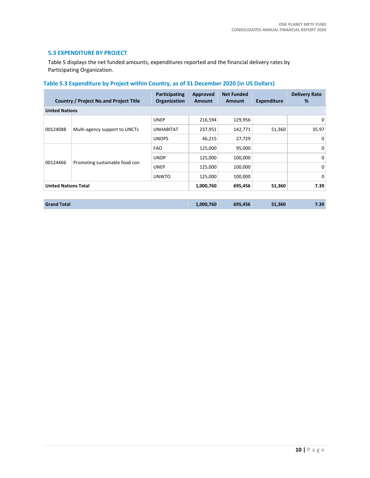#### **5.3 EXPENDITURE BY PROJECT**

Table 5 displays the net funded amounts, expenditures reported and the financial delivery rates by Participating Organization.

### **Table 5.3 Expenditure by Project within Country, as of 31 December 2020 (in US Dollars)**

|                             | <b>Country / Project No.and Project Title</b> | Participating<br><b>Organization</b> | Approved<br><b>Amount</b> | <b>Net Funded</b><br>Amount | <b>Expenditure</b> | <b>Delivery Rate</b><br>% |  |  |
|-----------------------------|-----------------------------------------------|--------------------------------------|---------------------------|-----------------------------|--------------------|---------------------------|--|--|
|                             | <b>United Nations</b>                         |                                      |                           |                             |                    |                           |  |  |
|                             |                                               | <b>UNEP</b>                          | 216,594                   | 129,956                     |                    | 0                         |  |  |
| 00124088                    | Multi-agency support to UNCTs                 | <b>UNHABITAT</b>                     | 237,951                   | 142,771                     | 51,360             | 35.97                     |  |  |
|                             |                                               | <b>UNOPS</b>                         | 46,215                    | 27,729                      |                    | 0                         |  |  |
| 00124466                    | Promoting sustainable food con                | <b>FAO</b>                           | 125,000                   | 95,000                      |                    | 0                         |  |  |
|                             |                                               | <b>UNDP</b>                          | 125,000                   | 100,000                     |                    | 0                         |  |  |
|                             |                                               | <b>UNEP</b>                          | 125,000                   | 100,000                     |                    | 0                         |  |  |
|                             |                                               | <b>UNWTO</b>                         | 125,000                   | 100,000                     |                    | 0                         |  |  |
| <b>United Nations Total</b> |                                               |                                      | 1,000,760                 | 695,456                     | 51,360             | 7.39                      |  |  |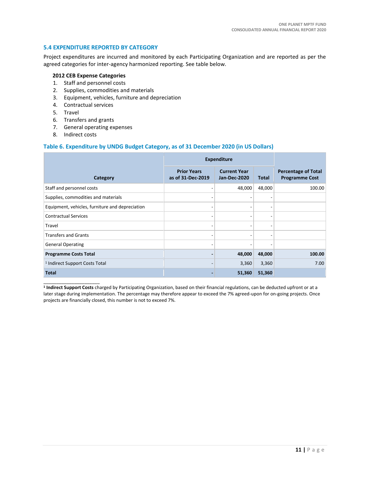#### **5.4 EXPENDITURE REPORTED BY CATEGORY**

Project expenditures are incurred and monitored by each Participating Organization and are reported as per the agreed categories for inter-agency harmonized reporting. See table below.

#### **2012 CEB Expense Categories**

- 1. Staff and personnel costs
- 2. Supplies, commodities and materials
- 3. Equipment, vehicles, furniture and depreciation
- 4. Contractual services
- 5. Travel
- 6. Transfers and grants
- 7. General operating expenses
- 8. Indirect costs

#### **Table 6. Expenditure by UNDG Budget Category, as of 31 December 2020 (in US Dollars)**

|                                                 | <b>Expenditure</b>                      |                                     |        |                                                     |
|-------------------------------------------------|-----------------------------------------|-------------------------------------|--------|-----------------------------------------------------|
| Category                                        | <b>Prior Years</b><br>as of 31-Dec-2019 | <b>Current Year</b><br>Jan-Dec-2020 | Total  | <b>Percentage of Total</b><br><b>Programme Cost</b> |
| Staff and personnel costs                       |                                         | 48,000                              | 48,000 | 100.00                                              |
| Supplies, commodities and materials             | ٠                                       |                                     |        |                                                     |
| Equipment, vehicles, furniture and depreciation | ٠                                       |                                     |        |                                                     |
| <b>Contractual Services</b>                     |                                         |                                     |        |                                                     |
| Travel                                          | ۰                                       |                                     |        |                                                     |
| <b>Transfers and Grants</b>                     | ٠                                       |                                     |        |                                                     |
| <b>General Operating</b>                        | ٠                                       |                                     |        |                                                     |
| <b>Programme Costs Total</b>                    |                                         | 48,000                              | 48,000 | 100.00                                              |
| <sup>1</sup> Indirect Support Costs Total       |                                         | 3,360                               | 3,360  | 7.00                                                |
| <b>Total</b>                                    |                                         | 51,360                              | 51,360 |                                                     |

\_\_\_\_\_\_\_\_\_\_\_\_\_\_\_\_\_\_\_\_\_\_ **1 Indirect Support Costs** charged by Participating Organization, based on their financial regulations, can be deducted upfront or at a later stage during implementation. The percentage may therefore appear to exceed the 7% agreed-upon for on-going projects. Once projects are financially closed, this number is not to exceed 7%.